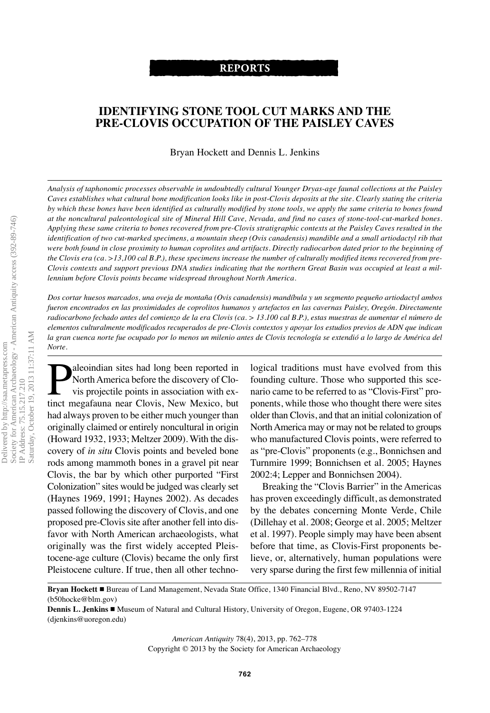# **REPORTS**

# **IDENTIFYING STONE TOOL CUT MARKS AND THE PRE-CLOVIS OCCUPATION OF THE PAISLEY CAVES**

Bryan Hockett and Dennis L. Jenkins

*Analysis of taphonomic processes observable in undoubtedly cultural Younger Dryas-age faunal collections at the Paisley* Caves establishes what cultural bone modification looks like in post-Clovis deposits at the site. Clearly stating the criteria by which these bones have been identified as culturally modified by stone tools, we apply the same criteria to bones found at the noncultural paleontological site of Mineral Hill Cave, Nevada, and find no cases of stone-tool-cut-marked bones. Applying these same criteria to bones recovered from pre-Clovis stratigraphic contexts at the Paisley Caves resulted in the identification of two cut-marked specimens, a mountain sheep (Ovis canadensis) mandible and a small artiodactyl rib that were both found in close proximity to human coprolites and artifacts. Directly radiocarbon dated prior to the beginning of the Clovis era (ca. >13,100 cal B.P.), these specimens increase the number of culturally modified items recovered from pre-Clovis contexts and support previous DNA studies indicating that the northern Great Basin was occupied at least a mil*lennium before Clovis points became widespread throughout North America.*

Dos cortar huesos marcados, una oveja de montaña (Ovis canadensis) mandíbula y un segmento pequeño artiodactyl ambos fueron encontrados en las proximidades de coprolitos humanos y artefactos en las cavernas Paisley, Oregón. Directamente radiocarbono fechado antes del comienzo de la era Clovis (ca. > 13.100 cal B.P.), estas muestras de aumentar el número de elementos culturalmente modificados recuperados de pre-Clovis contextos y apoyar los estudios previos de ADN que indican la gran cuenca norte fue ocupado por lo menos un milenio antes de Clovis tecnología se extendió a lo largo de América del *Norte.*

aleoindian sites had long been reported in NorthAmerica before the discovery of Clovis projectile points in association with extinct megafauna near Clovis, New Mexico, but had always proven to be either much younger than originally claimed or entirely noncultural in origin (Howard 1932, 1933; Meltzer 2009). With the discovery of *in situ* Clovis points and beveled bone rods among mammoth bones in a gravel pit near Clovis, the bar by which other purported "First Colonization" sites would be judged was clearly set (Haynes 1969, 1991; Haynes 2002). As decades passed following the discovery of Clovis, and one proposed pre-Clovis site after another fell into disfavor with North American archaeologists, what originally was the first widely accepted Pleistocene-age culture (Clovis) became the only first Pleistocene culture. If true, then all other technological traditions must have evolved from this founding culture. Those who supported this scenario came to be referred to as "Clovis-First" proponents, while those who thought there were sites older than Clovis, and that an initial colonization of NorthAmerica may or may not be related to groups who manufactured Clovis points, were referred to as "pre-Clovis" proponents (e.g., Bonnichsen and Turnmire 1999; Bonnichsen et al. 2005; Haynes 2002:4; Lepper and Bonnichsen 2004).

Breaking the "Clovis Barrier" in the Americas has proven exceedingly difficult, as demonstrated by the debates concerning Monte Verde, Chile (Dillehay et al. 2008; George et al. 2005; Meltzer et al. 1997). People simply may have been absent before that time, as Clovis-First proponents believe, or, alternatively, human populations were very sparse during the first few millennia of initial

*American Antiquity* 78(4), 2013, pp. 762–778 Copyright © 2013 by the Society for American Archaeology

**Bryan Hockett** ■ Bureau of Land Management, Nevada State Office, 1340 Financial Blvd., Reno, NV 89502-7147 (b50hocke@blm.gov)

**Dennis L. Jenkins ■** Museum of Natural and Cultural History, University of Oregon, Eugene, OR 97403-1224 (djenkins@uoregon.edu)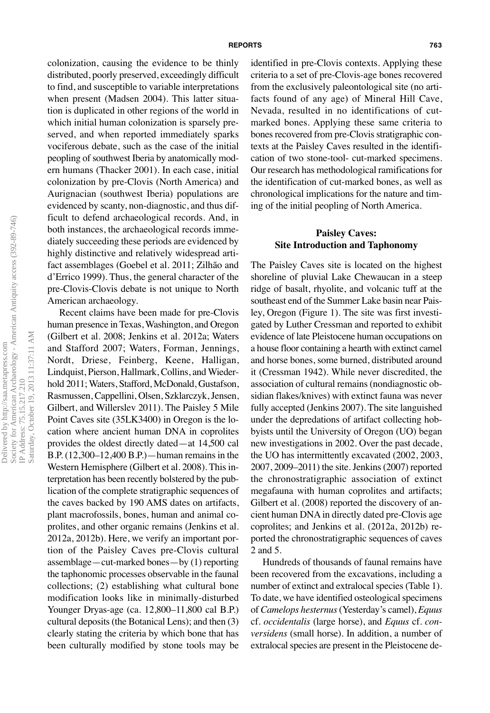colonization, causing the evidence to be thinly distributed, poorly preserved, exceedingly difficult to find, and susceptible to variable interpretations when present (Madsen 2004). This latter situation is duplicated in other regions of the world in which initial human colonization is sparsely preserved, and when reported immediately sparks vociferous debate, such as the case of the initial peopling of southwest Iberia by anatomically modern humans (Thacker 2001). In each case, initial colonization by pre-Clovis (North America) and Aurignacian (southwest Iberia) populations are evidenced by scanty, non-diagnostic, and thus difficult to defend archaeological records. And, in both instances, the archaeological records immediately succeeding these periods are evidenced by highly distinctive and relatively widespread artifact assemblages (Goebel et al. 2011; Zilhão and d'Errico 1999). Thus, the general character of the pre-Clovis-Clovis debate is not unique to North American archaeology.

Recent claims have been made for pre-Clovis human presence in Texas, Washington, and Oregon (Gilbert et al. 2008; Jenkins et al. 2012a; Waters and Stafford 2007; Waters, Forman, Jennings, Nordt, Driese, Feinberg, Keene, Halligan, Lindquist, Pierson, Hallmark, Collins, and Wiederhold 2011; Waters, Stafford, McDonald, Gustafson, Rasmussen, Cappellini, Olsen, Szklarczyk,Jensen, Gilbert, and Willerslev 2011). The Paisley 5 Mile Point Caves site (35LK3400) in Oregon is the location where ancient human DNA in coprolites provides the oldest directly dated—at 14,500 cal B.P.  $(12,300-12,400 B.P.)$ —human remains in the Western Hemisphere (Gilbert et al. 2008). This interpretation has been recently bolstered by the publication of the complete stratigraphic sequences of the caves backed by 190 AMS dates on artifacts, plant macrofossils, bones, human and animal coprolites, and other organic remains (Jenkins et al. 2012a, 2012b). Here, we verify an important portion of the Paisley Caves pre-Clovis cultural assemblage—cut-marked bones—by (1) reporting the taphonomic processes observable in the faunal collections; (2) establishing what cultural bone modification looks like in minimally-disturbed Younger Dryas-age (ca. 12,800–11,800 cal B.P.) cultural deposits(the Botanical Lens); and then (3) clearly stating the criteria by which bone that has been culturally modified by stone tools may be

identified in pre-Clovis contexts. Applying these criteria to a set of pre-Clovis-age bones recovered from the exclusively paleontological site (no artifacts found of any age) of Mineral Hill Cave, Nevada, resulted in no identifications of cutmarked bones. Applying these same criteria to bones recovered from pre-Clovis stratigraphic contexts at the Paisley Caves resulted in the identification of two stone-tool- cut-marked specimens. Our research has methodological ramifications for the identification of cut-marked bones, as well as chronological implications for the nature and timing of the initial peopling of North America.

# **Paisley Caves: Site Introduction and Taphonomy**

The Paisley Caves site is located on the highest shoreline of pluvial Lake Chewaucan in a steep ridge of basalt, rhyolite, and volcanic tuff at the southeast end of the Summer Lake basin near Paisley, Oregon (Figure 1). The site was first investigated by Luther Cressman and reported to exhibit evidence of late Pleistocene human occupations on a house floor containing a hearth with extinct camel and horse bones, some burned, distributed around it (Cressman 1942). While never discredited, the association of cultural remains(nondiagnostic obsidian flakes/knives) with extinct fauna was never fully accepted (Jenkins 2007). The site languished under the depredations of artifact collecting hobbyists until the University of Oregon (UO) began new investigations in 2002. Over the past decade, the UO has intermittently excavated (2002, 2003, 2007, 2009–2011) the site.Jenkins(2007) reported the chronostratigraphic association of extinct megafauna with human coprolites and artifacts; Gilbert et al. (2008) reported the discovery of ancient human DNAin directly dated pre-Clovis age coprolites; and Jenkins et al. (2012a, 2012b) reported the chronostratigraphic sequences of caves 2 and 5.

Hundreds of thousands of faunal remains have been recovered from the excavations, including a number of extinct and extralocal species (Table 1). To date, we have identified osteological specimens of *Camelops hesternus*(Yesterday's camel), *Equus* cf. *occidentalis* (large horse), and *Equus* cf. *conversidens* (small horse). In addition, a number of extralocal species are present in the Pleistocene de-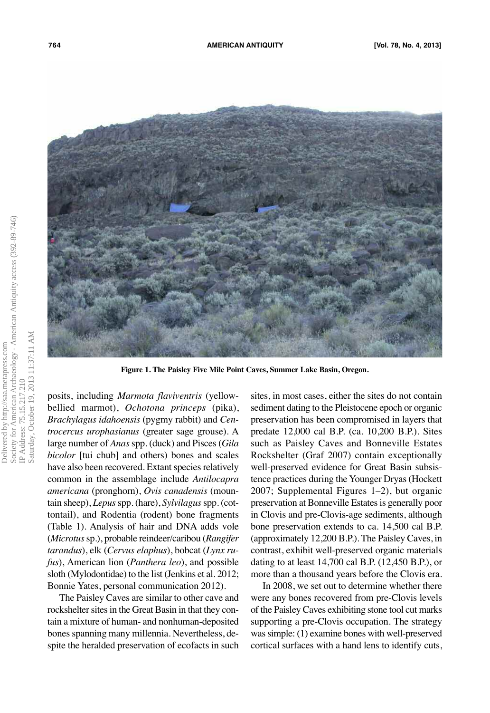

**Figure 1. The Paisley Five Mile Point Caves, Summer Lake Basin, Oregon.**

posits, including *Marmota flaviventris* (yellowbellied marmot), *Ochotona princeps* (pika), *Brachylagus idahoensis* (pygmy rabbit) and *Centrocercus urophasianus* (greater sage grouse). A large number of *Anas*spp. (duck) and Pisces(*Gila bicolor* [tui chub] and others) bones and scales have also been recovered. Extant species relatively common in the assemblage include *Antilocapra americana* (pronghorn), *Ovis canadensis* (mountain sheep), *Lepus*spp. (hare), *Sylvilagus*spp. (cottontail), and Rodentia (rodent) bone fragments (Table 1). Analysis of hair and DNA adds vole (*Microtus*sp.), probable reindeer/caribou (*Rangifer tarandus*), elk (*Cervus elaphus*), bobcat (*Lynx rufus*), American lion (*Panthera leo*), and possible sloth (Mylodontidae) to the list (Jenkins et al. 2012; Bonnie Yates, personal communication 2012).

The Paisley Caves are similar to other cave and rockshelter sites in the Great Basin in that they contain a mixture of human- and nonhuman-deposited bones spanning many millennia. Nevertheless, despite the heralded preservation of ecofacts in such

sites, in most cases, either the sites do not contain sediment dating to the Pleistocene epoch or organic preservation has been compromised in layers that predate 12,000 cal B.P. (ca. 10,200 B.P.). Sites such as Paisley Caves and Bonneville Estates Rockshelter (Graf 2007) contain exceptionally well-preserved evidence for Great Basin subsistence practices during the Younger Dryas(Hockett 2007; Supplemental Figures 1–2), but organic preservation at Bonneville Estates is generally poor in Clovis and pre-Clovis-age sediments, although bone preservation extends to ca. 14,500 cal B.P. (approximately 12,200 B.P.). The Paisley Caves, in contrast, exhibit well-preserved organic materials dating to at least 14,700 cal B.P. (12,450 B.P.), or more than a thousand years before the Clovis era.

In 2008, we set out to determine whether there were any bones recovered from pre-Clovis levels of the Paisley Caves exhibiting stone tool cut marks supporting a pre-Clovis occupation. The strategy wassimple: (1) examine bones with well-preserved cortical surfaces with a hand lens to identify cuts,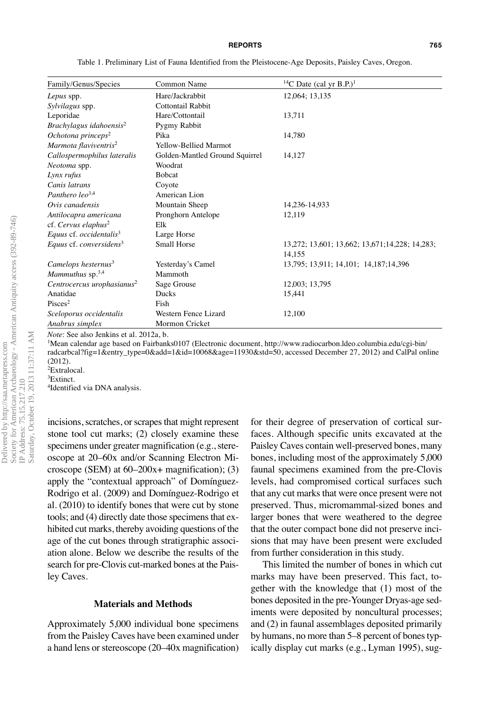Table 1. Preliminary List of Fauna Identified from the Pleistocene-Age Deposits, Paisley Caves, Oregon.

| Family/Genus/Species                   | Common Name                    | <sup>14</sup> C Date (cal yr B.P.) <sup>1</sup>       |
|----------------------------------------|--------------------------------|-------------------------------------------------------|
| Lepus spp.                             | Hare/Jackrabbit                | 12,064; 13,135                                        |
| Sylvilagus spp.                        | Cottontail Rabbit              |                                                       |
| Leporidae                              | Hare/Cottontail                | 13,711                                                |
| Brachylagus idahoensis <sup>2</sup>    | Pygmy Rabbit                   |                                                       |
| Ochotona princeps <sup>2</sup>         | Pika                           | 14.780                                                |
| Marmota flaviventris <sup>2</sup>      | <b>Yellow-Bellied Marmot</b>   |                                                       |
| Callospermophilus lateralis            | Golden-Mantled Ground Squirrel | 14,127                                                |
| Neotoma spp.                           | Woodrat                        |                                                       |
| Lynx rufus                             | <b>Bobcat</b>                  |                                                       |
| Canis latrans                          | Coyote                         |                                                       |
| Panthero $leo^{3,4}$                   | American Lion                  |                                                       |
| Ovis canadensis                        | Mountain Sheep                 | 14,236-14,933                                         |
| Antilocapra americana                  | Pronghorn Antelope             | 12,119                                                |
| $cf.$ Cervus elaphus <sup>2</sup>      | Elk                            |                                                       |
| Equus cf. occidentalis <sup>3</sup>    | Large Horse                    |                                                       |
| Equus cf. conversidens <sup>3</sup>    | Small Horse                    | 13, 272; 13, 601; 13, 662; 13, 671; 14, 228; 14, 283; |
|                                        |                                | 14.155                                                |
| Camelops hesternus <sup>3</sup>        | Yesterday's Camel              | 13,795; 13,911; 14,101; 14,187; 14,396                |
| Mammuthus $sp.^{3,4}$                  | Mammoth                        |                                                       |
| Centrocercus urophasianus <sup>2</sup> | Sage Grouse                    | 12,003; 13,795                                        |
| Anatidae                               | Ducks                          | 15,441                                                |
| Pisces <sup>2</sup>                    | Fish                           |                                                       |
| Sceloporus occidentalis                | Western Fence Lizard           | 12,100                                                |
| Anabrus simplex                        | Mormon Cricket                 |                                                       |

*Note*: See also Jenkins et al. 2012a, b.

1Mean calendar age based on Fairbanks0107 (Electronic document, http://www.radiocarbon.ldeo.columbia.edu/cgi-bin/ radcarbcal?fig=1&entry\_type=0&add=1&id=10068&age=11930&std=50, accessed December 27, 2012) and CalPal online (2012).

2Extralocal.

3Extinct.

4Identified via DNA analysis.

incisions, scratches, or scrapes that might represent stone tool cut marks; (2) closely examine these specimens under greater magnification (e.g., stereoscope at 20–60x and/or Scanning Electron Microscope (SEM) at 60–200x+ magnification); (3) apply the "contextual approach" of Domínguez-Rodrigo et al. (2009) and Domínguez-Rodrigo et al. (2010) to identify bones that were cut by stone tools; and (4) directly date those specimens that exhibited cut marks, thereby avoiding questions of the age of the cut bones through stratigraphic association alone. Below we describe the results of the search for pre-Clovis cut-marked bones at the Paisley Caves.

#### **Materials and Methods**

Approximately 5,000 individual bone specimens from the Paisley Caves have been examined under a hand lens or stereoscope (20–40x magnification)

for their degree of preservation of cortical surfaces. Although specific units excavated at the Paisley Caves contain well-preserved bones, many bones, including most of the approximately 5,000 faunal specimens examined from the pre-Clovis levels, had compromised cortical surfaces such that any cut marks that were once present were not preserved. Thus, micromammal-sized bones and larger bones that were weathered to the degree that the outer compact bone did not preserve incisions that may have been present were excluded from further consideration in this study.

This limited the number of bones in which cut marks may have been preserved. This fact, together with the knowledge that (1) most of the bones deposited in the pre-Younger Dryas-age sediments were deposited by noncultural processes; and (2) in faunal assemblages deposited primarily by humans, no more than 5–8 percent of bones typically display cut marks (e.g., Lyman 1995), sug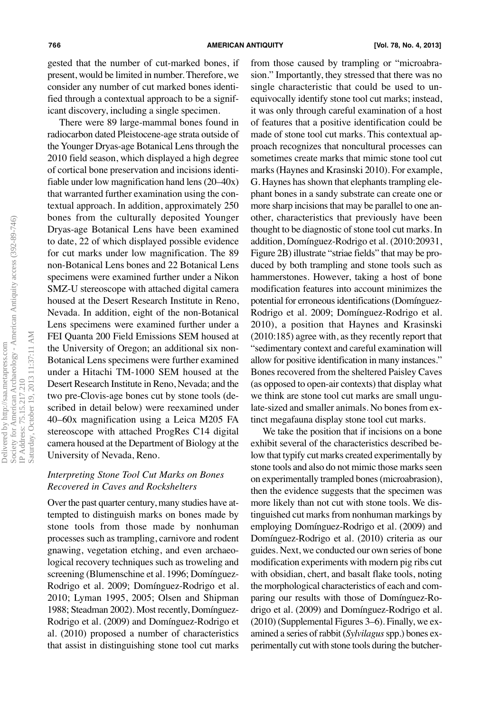gested that the number of cut-marked bones, if present, would be limited in number. Therefore, we consider any number of cut marked bones identified through a contextual approach to be a significant discovery, including a single specimen.

There were 89 large-mammal bones found in radiocarbon dated Pleistocene-age strata outside of the Younger Dryas-age Botanical Lensthrough the 2010 field season, which displayed a high degree of cortical bone preservation and incisions identifiable under low magnification hand lens(20–40x) that warranted further examination using the contextual approach. In addition, approximately 250 bones from the culturally deposited Younger Dryas-age Botanical Lens have been examined to date, 22 of which displayed possible evidence for cut marks under low magnification. The 89 non-Botanical Lens bones and 22 Botanical Lens specimens were examined further under a Nikon SMZ-U stereoscope with attached digital camera housed at the Desert Research Institute in Reno, Nevada. In addition, eight of the non-Botanical Lens specimens were examined further under a FEI Quanta 200 Field Emissions SEM housed at the University of Oregon; an additional six non-Botanical Lens specimens were further examined under a Hitachi TM-1000 SEM housed at the Desert Research Institute in Reno, Nevada; and the two pre-Clovis-age bones cut by stone tools (described in detail below) were reexamined under 40–60x magnification using a Leica M205 FA stereoscope with attached ProgRes C14 digital camera housed at the Department of Biology at the University of Nevada, Reno.

### *Interpreting Stone Tool Cut Marks on Bones Recovered in Caves and Rockshelters*

Over the past quarter century, many studies have attempted to distinguish marks on bones made by stone tools from those made by nonhuman processes such as trampling, carnivore and rodent gnawing, vegetation etching, and even archaeological recovery techniques such as troweling and screening (Blumenschine et al. 1996; Domínguez-Rodrigo et al. 2009; Domínguez-Rodrigo et al. 2010; Lyman 1995, 2005; Olsen and Shipman 1988; Steadman 2002). Most recently, Domínguez-Rodrigo et al. (2009) and Domínguez-Rodrigo et al. (2010) proposed a number of characteristics that assist in distinguishing stone tool cut marks

from those caused by trampling or "microabrasion." Importantly, they stressed that there was no single characteristic that could be used to unequivocally identify stone tool cut marks; instead, it was only through careful examination of a host of features that a positive identification could be made of stone tool cut marks. This contextual approach recognizes that noncultural processes can sometimes create marks that mimic stone tool cut marks(Haynes and Krasinski 2010). For example, G. Haynes has shown that elephants trampling elephant bones in a sandy substrate can create one or more sharp incisions that may be parallel to one another, characteristics that previously have been thought to be diagnostic of stone tool cut marks. In addition, Domínguez-Rodrigo et al. (2010:20931, Figure 2B) illustrate "striae fields" that may be produced by both trampling and stone tools such as hammerstones. However, taking a host of bone modification features into account minimizes the potential for erroneous identifications (Domínguez-Rodrigo et al. 2009; Domínguez-Rodrigo et al. 2010), a position that Haynes and Krasinski (2010:185) agree with, as they recently report that "sedimentary context and careful examination will allow for positive identification in many instances." Bones recovered from the sheltered Paisley Caves (as opposed to open-air contexts) that display what we think are stone tool cut marks are small ungulate-sized and smaller animals. No bones from extinct megafauna display stone tool cut marks.

We take the position that if incisions on a bone exhibit several of the characteristics described below that typify cut marks created experimentally by stone tools and also do not mimic those marks seen on experimentally trampled bones(microabrasion), then the evidence suggests that the specimen was more likely than not cut with stone tools. We distinguished cut marks from nonhuman markings by employing Domínguez-Rodrigo et al. (2009) and Domínguez-Rodrigo et al. (2010) criteria as our guides. Next, we conducted our own series of bone modification experiments with modern pig ribs cut with obsidian, chert, and basalt flake tools, noting the morphological characteristics of each and comparing our results with those of Domínguez-Rodrigo et al. (2009) and Domínguez-Rodrigo et al. (2010) (Supplemental Figures 3–6). Finally, we examined a series of rabbit (*Sylvilagus*spp.) bones experimentally cut with stone tools during the butcher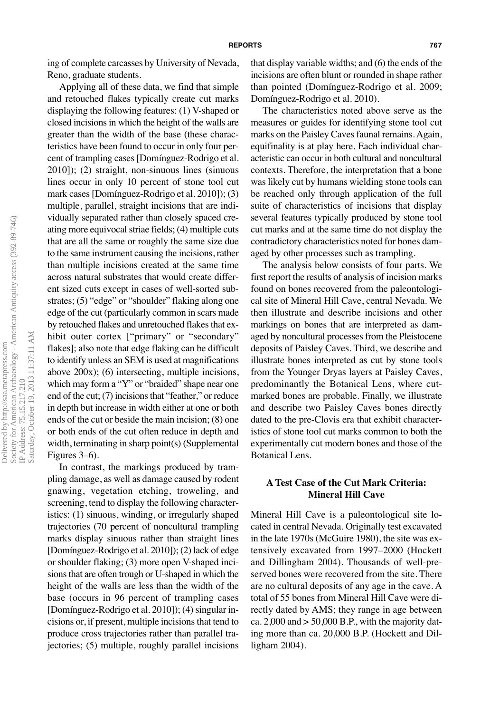ing of complete carcasses by University of Nevada, Reno, graduate students.

Applying all of these data, we find that simple and retouched flakes typically create cut marks displaying the following features: (1) V-shaped or closed incisions in which the height of the walls are greater than the width of the base (these characteristics have been found to occur in only four percent of trampling cases[Domínguez-Rodrigo et al. 2010]); (2) straight, non-sinuous lines (sinuous lines occur in only 10 percent of stone tool cut mark cases[Domínguez-Rodrigo et al. 2010]); (3) multiple, parallel, straight incisions that are individually separated rather than closely spaced creating more equivocal striae fields; (4) multiple cuts that are all the same or roughly the same size due to the same instrument causing the incisions, rather than multiple incisions created at the same time across natural substrates that would create different sized cuts except in cases of well-sorted substrates; (5) "edge" or "shoulder" flaking along one edge of the cut (particularly common in scars made by retouched flakes and unretouched flakes that exhibit outer cortex ["primary" or "secondary" flakes]; also note that edge flaking can be difficult to identify unless an SEM is used at magnifications above 200x); (6) intersecting, multiple incisions, which may form a "Y" or "braided" shape near one end of the cut;  $(7)$  incisions that "feather," or reduce in depth but increase in width either at one or both ends of the cut or beside the main incision; (8) one or both ends of the cut often reduce in depth and width, terminating in sharp point(s) (Supplemental Figures 3–6).

In contrast, the markings produced by trampling damage, as well as damage caused by rodent gnawing, vegetation etching, troweling, and screening, tend to display the following characteristics: (1) sinuous, winding, or irregularly shaped trajectories (70 percent of noncultural trampling marks display sinuous rather than straight lines [Domínguez-Rodrigo et al. 2010]); (2) lack of edge or shoulder flaking; (3) more open V-shaped incisions that are often trough or U-shaped in which the height of the walls are less than the width of the base (occurs in 96 percent of trampling cases [Domínguez-Rodrigo et al. 2010]); (4) singular incisions or, if present, multiple incisions that tend to produce cross trajectories rather than parallel trajectories; (5) multiple, roughly parallel incisions

that display variable widths; and (6) the ends of the incisions are often blunt or rounded in shape rather than pointed (Domínguez-Rodrigo et al. 2009; Domínguez-Rodrigo et al. 2010).

The characteristics noted above serve as the measures or guides for identifying stone tool cut marks on the Paisley Caves faunal remains. Again, equifinality is at play here. Each individual characteristic can occur in both cultural and noncultural contexts. Therefore, the interpretation that a bone was likely cut by humans wielding stone tools can be reached only through application of the full suite of characteristics of incisions that display several features typically produced by stone tool cut marks and at the same time do not display the contradictory characteristics noted for bones damaged by other processes such as trampling.

The analysis below consists of four parts. We first report the results of analysis of incision marks found on bones recovered from the paleontological site of Mineral Hill Cave, central Nevada. We then illustrate and describe incisions and other markings on bones that are interpreted as damaged by noncultural processes from the Pleistocene deposits of Paisley Caves. Third, we describe and illustrate bones interpreted as cut by stone tools from the Younger Dryas layers at Paisley Caves, predominantly the Botanical Lens, where cutmarked bones are probable. Finally, we illustrate and describe two Paisley Caves bones directly dated to the pre-Clovis era that exhibit characteristics of stone tool cut marks common to both the experimentally cut modern bones and those of the Botanical Lens.

### **A Test Case of the Cut Mark Criteria: Mineral Hill Cave**

Mineral Hill Cave is a paleontological site located in central Nevada. Originally test excavated in the late 1970s (McGuire 1980), the site was extensively excavated from 1997–2000 (Hockett and Dillingham 2004). Thousands of well-preserved bones were recovered from the site. There are no cultural deposits of any age in the cave. A total of 55 bones from Mineral Hill Cave were directly dated by AMS; they range in age between ca.  $2,000$  and  $> 50,000$  B.P., with the majority dating more than ca. 20,000 B.P. (Hockett and Dilligham 2004).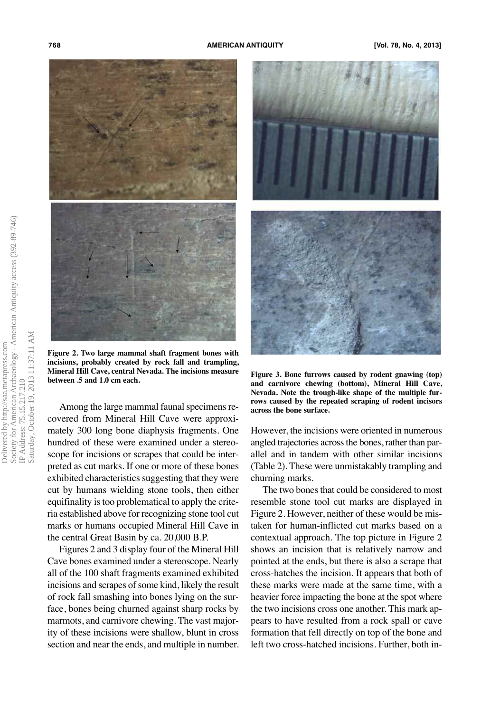

**Figure 2. Two large mammal shaft fragment bones with incisions, probably created by rock fall and trampling, Mineral Hill Cave, central Nevada. The incisions measure between .5 and 1.0 cm each. Figure 3. Bone furrows caused by rodent gnawing (top)**

Among the large mammal faunal specimens recovered from Mineral Hill Cave were approximately 300 long bone diaphysis fragments. One hundred of these were examined under a stereoscope for incisions or scrapes that could be interpreted as cut marks. If one or more of these bones exhibited characteristics suggesting that they were cut by humans wielding stone tools, then either equifinality is too problematical to apply the criteria established above for recognizing stone tool cut marks or humans occupied Mineral Hill Cave in the central Great Basin by ca. 20,000 B.P.

Figures 2 and 3 display four of the Mineral Hill Cave bones examined under a stereoscope. Nearly all of the 100 shaft fragments examined exhibited incisions and scrapes of some kind, likely the result of rock fall smashing into bones lying on the surface, bones being churned against sharp rocks by marmots, and carnivore chewing. The vast majority of these incisions were shallow, blunt in cross section and near the ends, and multiple in number.



**and carnivore chewing (bottom), Mineral Hill Cave, Nevada. Note the trough-like shape of the multiple furrows caused by the repeated scraping of rodent incisors across the bone surface.**

However, the incisions were oriented in numerous angled trajectories across the bones, rather than parallel and in tandem with other similar incisions (Table 2). These were unmistakably trampling and churning marks.

The two bones that could be considered to most resemble stone tool cut marks are displayed in Figure 2. However, neither of these would be mistaken for human-inflicted cut marks based on a contextual approach. The top picture in Figure 2 shows an incision that is relatively narrow and pointed at the ends, but there is also a scrape that cross-hatches the incision. It appears that both of these marks were made at the same time, with a heavier force impacting the bone at the spot where the two incisions cross one another. This mark appears to have resulted from a rock spall or cave formation that fell directly on top of the bone and left two cross-hatched incisions. Further, both in-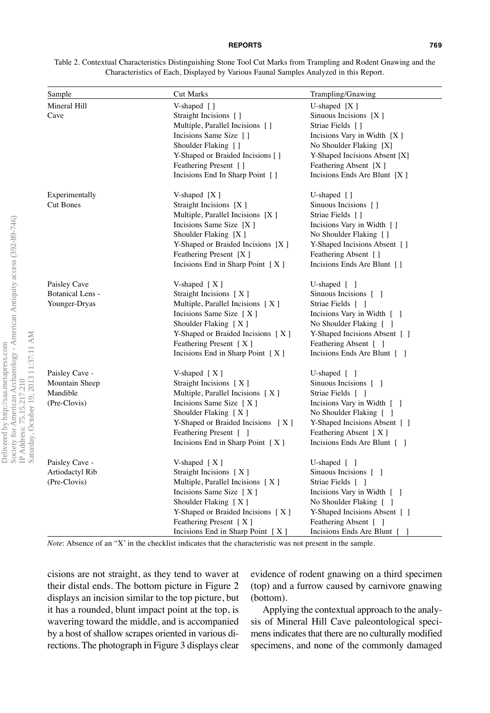#### **REPORTS 769**

Table 2. Contextual Characteristics Distinguishing Stone Tool Cut Marks from Trampling and Rodent Gnawing and the Characteristics of Each, Displayed by Various Faunal Samples Analyzed in this Report.

| Sample                  | <b>Cut Marks</b>                      | Trampling/Gnawing                      |
|-------------------------|---------------------------------------|----------------------------------------|
| Mineral Hill            | V-shaped []                           | U-shaped $[X]$                         |
| Cave                    | Straight Incisions []                 | Sinuous Incisions $[X]$                |
|                         | Multiple, Parallel Incisions []       | Striae Fields []                       |
|                         | Incisions Same Size []                | Incisions Vary in Width [X]            |
|                         | Shoulder Flaking []                   | No Shoulder Flaking [X]                |
|                         | Y-Shaped or Braided Incisions []      | Y-Shaped Incisions Absent [X]          |
|                         | Feathering Present []                 | Feathering Absent [X]                  |
|                         | Incisions End In Sharp Point []       | Incisions Ends Are Blunt $[X]$         |
| Experimentally          | V-shaped $[X]$                        | U-shaped []                            |
| <b>Cut Bones</b>        | Straight Incisions [X]                | Sinuous Incisions []                   |
|                         | Multiple, Parallel Incisions [X]      | Striae Fields []                       |
|                         | Incisions Same Size [X]               | Incisions Vary in Width []             |
|                         | Shoulder Flaking $[X]$                | No Shoulder Flaking []                 |
|                         | Y-Shaped or Braided Incisions [X]     | Y-Shaped Incisions Absent []           |
|                         | Feathering Present [X]                | Feathering Absent []                   |
|                         | Incisions End in Sharp Point $[X]$    | Incisions Ends Are Blunt []            |
| Paisley Cave            | V-shaped $\lceil X \rceil$            | U-shaped [ ]                           |
| <b>Botanical Lens -</b> | Straight Incisions [X]                | Sinuous Incisions [ ]                  |
| Younger-Dryas           | Multiple, Parallel Incisions $[X]$    | Striae Fields [ ]                      |
|                         | Incisions Same Size [X]               | Incisions Vary in Width [ ]            |
|                         | Shoulder Flaking $[X]$                | No Shoulder Flaking $\lceil \; \rceil$ |
|                         | Y-Shaped or Braided Incisions [X]     | Y-Shaped Incisions Absent [ ]          |
|                         | Feathering Present $[X]$              | Feathering Absent [ ]                  |
|                         | Incisions End in Sharp Point [X]      | Incisions Ends Are Blunt [ ]           |
| Paisley Cave -          | V-shaped $[X]$                        | U-shaped $[$ $]$                       |
| Mountain Sheep          | Straight Incisions $\lceil X \rceil$  | Sinuous Incisions []                   |
| Mandible                | Multiple, Parallel Incisions [X]      | Striae Fields [ ]                      |
| (Pre-Clovis)            | Incisions Same Size $\lceil X \rceil$ | Incisions Vary in Width [ ]            |
|                         | Shoulder Flaking [X]                  | No Shoulder Flaking [ ]                |
|                         | Y-Shaped or Braided Incisions [X]     | Y-Shaped Incisions Absent [ ]          |
|                         | Feathering Present [ ]                | Feathering Absent [X]                  |
|                         | Incisions End in Sharp Point $[X]$    | Incisions Ends Are Blunt []            |
| Paisley Cave -          | V-shaped $[X]$                        | U-shaped $[$ ]                         |
| Artiodactyl Rib         | Straight Incisions [X]                | Sinuous Incisions [ ]                  |
| (Pre-Clovis)            | Multiple, Parallel Incisions $[X]$    | Striae Fields [ ]                      |
|                         | Incisions Same Size $[X]$             | Incisions Vary in Width []             |
|                         | Shoulder Flaking $[X]$                | No Shoulder Flaking $\lceil \; \rceil$ |
|                         | Y-Shaped or Braided Incisions $[X]$   | Y-Shaped Incisions Absent []           |
|                         | Feathering Present [X]                | Feathering Absent [ ]                  |
|                         | Incisions End in Sharp Point $[X]$    | Incisions Ends Are Blunt               |

*Note*: Absence of an "X' in the checklist indicates that the characteristic was not present in the sample.

cisions are not straight, as they tend to waver at their distal ends. The bottom picture in Figure 2 displays an incision similar to the top picture, but it has a rounded, blunt impact point at the top, is wavering toward the middle, and is accompanied by a host of shallow scrapes oriented in various directions. The photograph in Figure 3 displays clear evidence of rodent gnawing on a third specimen (top) and a furrow caused by carnivore gnawing (bottom).

Applying the contextual approach to the analysis of Mineral Hill Cave paleontological specimens indicates that there are no culturally modified specimens, and none of the commonly damaged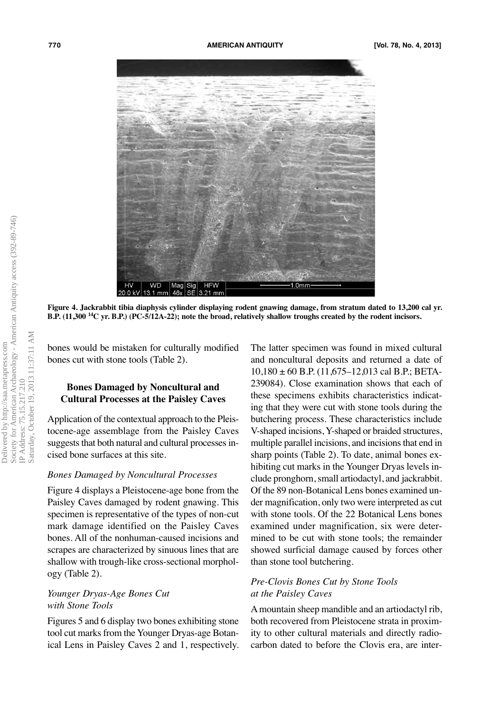

Figure 4. Jackrabbit tibia diaphysis cylinder displaying rodent gnawing damage, from stratum dated to 13,200 cal yr. B.P. (11,300<sup>14</sup>C yr. B.P.) (PC-5/12A-22); note the broad, relatively shallow troughs created by the rodent incisors.

bones would be mistaken for culturally modified bones cut with stone tools (Table 2).

## **Bones Damaged by Noncultural and Cultural Processes at the Paisley Caves**

Application of the contextual approach to the Pleistocene-age assemblage from the Paisley Caves suggests that both natural and cultural processes incised bone surfaces at this site.

#### *Bones Damaged by Noncultural Processes*

Figure 4 displays a Pleistocene-age bone from the Paisley Caves damaged by rodent gnawing. This specimen is representative of the types of non-cut mark damage identified on the Paisley Caves bones. All of the nonhuman-caused incisions and scrapes are characterized by sinuous lines that are shallow with trough-like cross-sectional morphology (Table 2).

### *Younger Dryas-Age Bones Cut with Stone Tools*

Figures 5 and 6 display two bones exhibiting stone tool cut marks from the Younger Dryas-age Botanical Lens in Paisley Caves 2 and 1, respectively.

The latter specimen was found in mixed cultural and noncultural deposits and returned a date of 10,180 ± 60 B.P. (11,675–12,013 cal B.P.; BETA-239084). Close examination shows that each of these specimens exhibits characteristics indicating that they were cut with stone tools during the butchering process. These characteristics include V-shaped incisions, Y-shaped or braided structures, multiple parallel incisions, and incisions that end in sharp points (Table 2). To date, animal bones exhibiting cut marks in the Younger Dryas levels include pronghorn,small artiodactyl, and jackrabbit. Of the 89 non-Botanical Lens bones examined under magnification, only two were interpreted as cut with stone tools. Of the 22 Botanical Lens bones examined under magnification, six were determined to be cut with stone tools; the remainder showed surficial damage caused by forces other than stone tool butchering.

### *Pre-Clovis Bones Cut by Stone Tools at the Paisley Caves*

Amountain sheep mandible and an artiodactyl rib, both recovered from Pleistocene strata in proximity to other cultural materials and directly radiocarbon dated to before the Clovis era, are inter-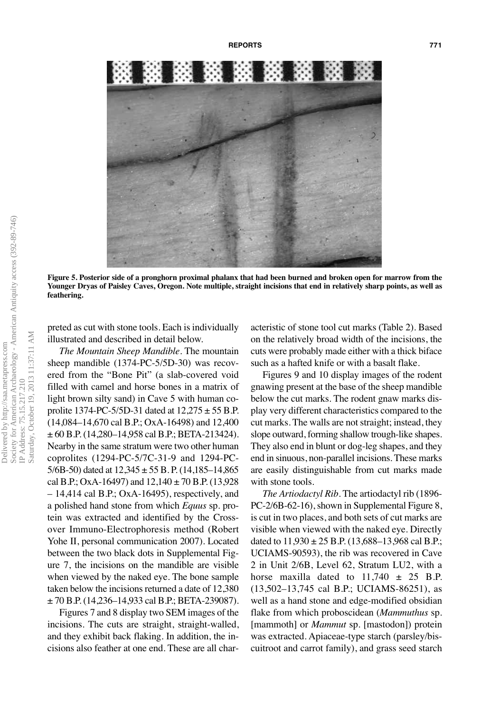

Figure 5. Posterior side of a pronghorn proximal phalanx that had been burned and broken open for marrow from the Younger Dryas of Paisley Caves, Oregon. Note multiple, straight incisions that end in relatively sharp points, as well as **feathering.**

preted as cut with stone tools. Each is individually illustrated and described in detail below.

*The Mountain Sheep Mandible*. The mountain sheep mandible (1374-PC-5/5D-30) was recovered from the "Bone Pit" (a slab-covered void filled with camel and horse bones in a matrix of light brown silty sand) in Cave 5 with human coprolite 1374-PC-5/5D-31 dated at  $12,275 \pm 55$  B.P. (14,084–14,670 cal B.P.; OxA-16498) and 12,400 ± 60 B.P. (14,280–14,958 cal B.P.; BETA-213424). Nearby in the same stratum were two other human coprolites (1294-PC-5/7C-31-9 and 1294-PC-5/6B-50) dated at  $12,345 \pm 55$  B. P. (14,185–14,865 cal B.P.; OxA-16497) and  $12,140 \pm 70$  B.P. (13,928) – 14,414 cal B.P.; OxA-16495), respectively, and a polished hand stone from which *Equus* sp. protein was extracted and identified by the Crossover Immuno-Electrophoresis method (Robert Yohe II, personal communication 2007). Located between the two black dots in Supplemental Figure 7, the incisions on the mandible are visible when viewed by the naked eye. The bone sample taken below the incisions returned a date of 12,380 ± 70 B.P. (14,236–14,933 cal B.P.; BETA-239087).

Figures 7 and 8 display two SEM images of the incisions. The cuts are straight, straight-walled, and they exhibit back flaking. In addition, the incisions also feather at one end. These are all characteristic of stone tool cut marks (Table 2). Based on the relatively broad width of the incisions, the cuts were probably made either with a thick biface such as a hafted knife or with a basalt flake.

Figures 9 and 10 display images of the rodent gnawing present at the base of the sheep mandible below the cut marks. The rodent gnaw marks display very different characteristics compared to the cut marks. The walls are not straight; instead, they slope outward, forming shallow trough-like shapes. They also end in blunt or dog-leg shapes, and they end in sinuous, non-parallel incisions. These marks are easily distinguishable from cut marks made with stone tools.

*The Artiodactyl Rib*. The artiodactyl rib (1896- PC-2/6B-62-16), shown in Supplemental Figure 8, is cut in two places, and both sets of cut marks are visible when viewed with the naked eye. Directly dated to  $11,930 \pm 25$  B.P. (13,688–13,968 cal B.P.; UCIAMS-90593), the rib was recovered in Cave 2 in Unit 2/6B, Level 62, Stratum LU2, with a horse maxilla dated to  $11,740 \pm 25$  B.P. (13,502–13,745 cal B.P.; UCIAMS-86251), as well as a hand stone and edge-modified obsidian flake from which proboscidean (*Mammuthus* sp. [mammoth] or *Mammut* sp. [mastodon]) protein was extracted. Apiaceae-type starch (parsley/biscuitroot and carrot family), and grass seed starch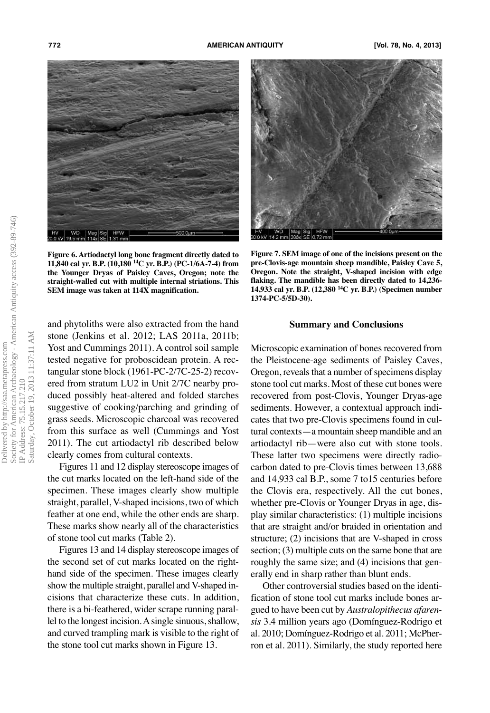

**Figure 6. Artiodactyl long bone fragment directly dated to 11,840 cal yr. B.P. (10,180 <sup>14</sup> C yr. B.P.) (PC-1/6A-7-4) from the Younger Dryas of Paisley Caves, Oregon; note the straight-walled cut with multiple internal striations. This SEM image was taken at 114X magnification.**

and phytoliths were also extracted from the hand stone (Jenkins et al. 2012; LAS 2011a, 2011b; Yost and Cummings 2011). A control soil sample tested negative for proboscidean protein. A rectangular stone block (1961-PC-2/7C-25-2) recovered from stratum LU2 in Unit 2/7C nearby produced possibly heat-altered and folded starches suggestive of cooking/parching and grinding of grass seeds. Microscopic charcoal was recovered from this surface as well (Cummings and Yost 2011). The cut artiodactyl rib described below clearly comes from cultural contexts.

Figures 11 and 12 display stereoscope images of the cut marks located on the left-hand side of the specimen. These images clearly show multiple straight, parallel, V-shaped incisions, two of which feather at one end, while the other ends are sharp. These marks show nearly all of the characteristics of stone tool cut marks (Table 2).

Figures 13 and 14 display stereoscope images of the second set of cut marks located on the righthand side of the specimen. These images clearly show the multiple straight, parallel and V-shaped incisions that characterize these cuts. In addition, there is a bi-feathered, wider scrape running parallel to the longest incision. A single sinuous, shallow, and curved trampling mark is visible to the right of the stone tool cut marks shown in Figure 13.



**Figure 7. SEM image of one of the incisions present on the pre-Clovis-age mountain sheep mandible, Paisley Cave 5, Oregon. Note the straight, V-shaped incision with edge flaking. The mandible has been directly dated to 14,236- 14,933 cal yr. B.P. (12,380 <sup>14</sup> C yr. B.P.) (Specimen number 1374-PC-5/5D-30).**

#### **Summary and Conclusions**

Microscopic examination of bones recovered from the Pleistocene-age sediments of Paisley Caves, Oregon, reveals that a number of specimens display stone tool cut marks. Most of these cut bones were recovered from post-Clovis, Younger Dryas-age sediments. However, a contextual approach indicates that two pre-Clovis specimens found in cultural contexts—a mountain sheep mandible and an artiodactyl rib—were also cut with stone tools. These latter two specimens were directly radiocarbon dated to pre-Clovis times between 13,688 and 14,933 cal B.P., some 7 to15 centuries before the Clovis era, respectively. All the cut bones, whether pre-Clovis or Younger Dryas in age, display similar characteristics: (1) multiple incisions that are straight and/or braided in orientation and structure; (2) incisions that are V-shaped in cross section; (3) multiple cuts on the same bone that are roughly the same size; and (4) incisions that generally end in sharp rather than blunt ends.

Other controversial studies based on the identification of stone tool cut marks include bones argued to have been cut by *Australopithecus afarensis* 3.4 million years ago (Domínguez-Rodrigo et al. 2010; Domínguez-Rodrigo et al. 2011; McPherron et al. 2011). Similarly, the study reported here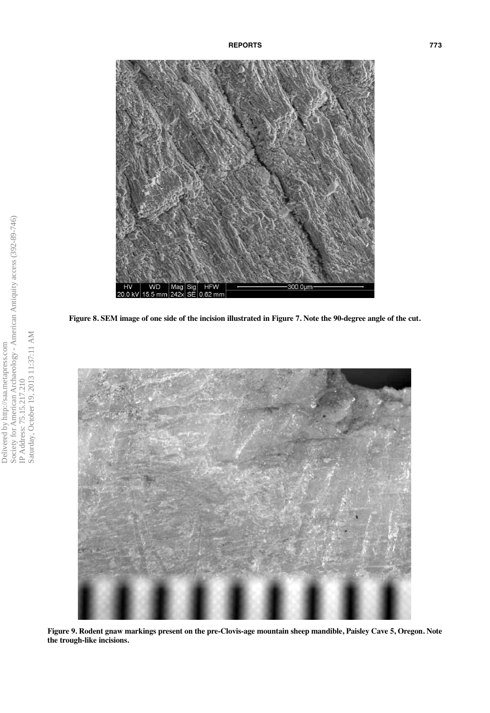

Figure 8. SEM image of one side of the incision illustrated in Figure 7. Note the 90-degree angle of the cut.



Figure 9. Rodent gnaw markings present on the pre-Clovis-age mountain sheep mandible, Paisley Cave 5, Oregon. Note **the trough-like incisions.**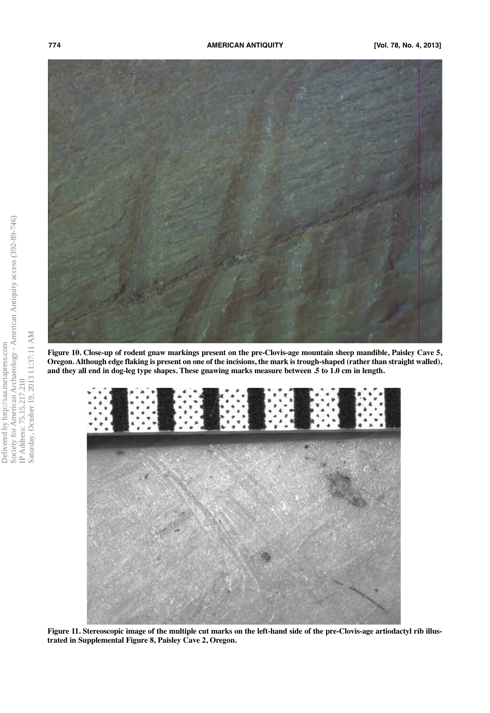

Figure 10. Close-up of rodent gnaw markings present on the pre-Clovis-age mountain sheep mandible, Paisley Cave 5, Oregon. Although edge flaking is present on one of the incisions, the mark is trough-shaped (rather than straight walled), and they all end in dog-leg type shapes. These gnawing marks measure between .5 to 1.0 cm in length.



Figure 11. Stereoscopic image of the multiple cut marks on the left-hand side of the pre-Clovis-age artiodactyl rib illus**trated in Supplemental Figure 8, Paisley Cave 2, Oregon.**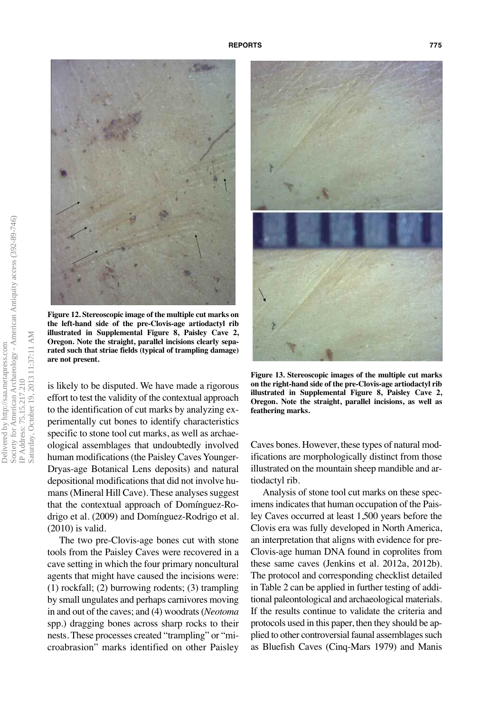

**Figure 12. Stereoscopic image of the multiple cut marks on the left-hand side of the pre-Clovis-age artiodactyl rib illustrated in Supplemental Figure 8, Paisley Cave 2, Oregon. Note the straight, parallel incisions clearly separated such that striae fields (typical of trampling damage) are not present.**

is likely to be disputed. We have made a rigorous effort to test the validity of the contextual approach to the identification of cut marks by analyzing experimentally cut bones to identify characteristics specific to stone tool cut marks, as well as archaeological assemblages that undoubtedly involved human modifications (the Paisley Caves Younger-Dryas-age Botanical Lens deposits) and natural depositional modifications that did not involve humans (Mineral Hill Cave). These analyses suggest that the contextual approach of Domínguez-Rodrigo et al. (2009) and Domínguez-Rodrigo et al. (2010) is valid.

The two pre-Clovis-age bones cut with stone tools from the Paisley Caves were recovered in a cave setting in which the four primary noncultural agents that might have caused the incisions were: (1) rockfall; (2) burrowing rodents; (3) trampling by small ungulates and perhaps carnivores moving in and out of the caves; and (4) woodrats(*Neotoma* spp.) dragging bones across sharp rocks to their nests. These processes created "trampling" or "microabrasion" marks identified on other Paisley



**Figure 13. Stereoscopic images of the multiple cut marks on the right-hand side of the pre-Clovis-age artiodactyl rib illustrated in Supplemental Figure 8, Paisley Cave 2, Oregon. Note the straight, parallel incisions, as well as feathering marks.**

Caves bones. However, these types of natural modifications are morphologically distinct from those illustrated on the mountain sheep mandible and artiodactyl rib.

Analysis of stone tool cut marks on these specimens indicates that human occupation of the Paisley Caves occurred at least 1,500 years before the Clovis era was fully developed in North America, an interpretation that aligns with evidence for pre-Clovis-age human DNA found in coprolites from these same caves (Jenkins et al. 2012a, 2012b). The protocol and corresponding checklist detailed in Table 2 can be applied in further testing of additional paleontological and archaeological materials. If the results continue to validate the criteria and protocols used in this paper, then they should be applied to other controversial faunal assemblages such as Bluefish Caves (Cinq-Mars 1979) and Manis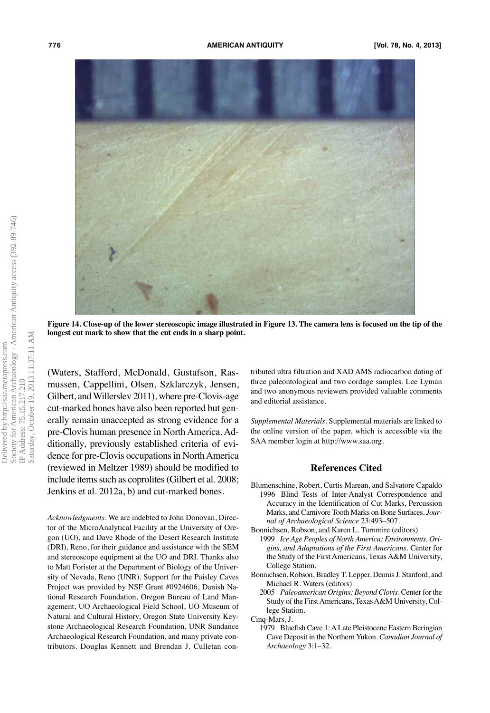

Figure 14. Close-up of the lower stereoscopic image illustrated in Figure 13. The camera lens is focused on the tip of the **longest cut mark to show that the cut ends in a sharp point.**

(Waters, Stafford, McDonald, Gustafson, Rasmussen, Cappellini, Olsen, Szklarczyk, Jensen, Gilbert, and Willerslev 2011), where pre-Clovis-age cut-marked bones have also been reported but generally remain unaccepted as strong evidence for a pre-Clovis human presence in North America. Additionally, previously established criteria of evidence for pre-Clovis occupations in North America (reviewed in Meltzer 1989) should be modified to include items such as coprolites (Gilbert et al. 2008; Jenkins et al. 2012a, b) and cut-marked bones.

*Acknowledgments*. We are indebted to John Donovan, Director of the MicroAnalytical Facility at the University of Oregon (UO), and Dave Rhode of the Desert Research Institute (DRI), Reno, for their guidance and assistance with the SEM and stereoscope equipment at the UO and DRI. Thanks also to Matt Forister at the Department of Biology of the University of Nevada, Reno (UNR). Support for the Paisley Caves Project was provided by NSF Grant #0924606, Danish National Research Foundation, Oregon Bureau of Land Management, UO Archaeological Field School, UO Museum of Natural and Cultural History, Oregon State University Keystone Archaeological Research Foundation, UNR Sundance Archaeological Research Foundation, and many private contributors. Douglas Kennett and Brendan J. Culletan con-

tributed ultra filtration and XAD AMS radiocarbon dating of three paleontological and two cordage samples. Lee Lyman and two anonymous reviewers provided valuable comments and editorial assistance.

*Supplemental Materials*. Supplemental materials are linked to the online version of the paper, which is accessible via the SAA member login at http://www.saa.org.

### **References Cited**

- Blumenschine, Robert, Curtis Marean, and Salvatore Capaldo 1996 Blind Tests of Inter-Analyst Correspondence and Accuracy in the Identification of Cut Marks, Percussion Marks, and Carnivore Tooth Marks on Bone Surfaces. *Journal of Archaeological Science* 23:493–507.
- Bonnichsen, Robson, and Karen L. Turnmire (editors) 1999 *Ice Age Peoples of North America: Environments, Origins, and Adaptations of the First Americans*. Center for the Study of the First Americans, Texas A&M University, College Station.
- Bonnichsen, Robson, Bradley T. Lepper, Dennis J. Stanford, and Michael R. Waters (editors)
	- 2005 *Paleoamerican Origins: Beyond Clovis*. Center for the Study of the First Americans, Texas A&M University, College Station.

Cinq-Mars, J.

1979 Bluefish Cave 1:ALate Pleistocene Eastern Beringian Cave Deposit in the Northern Yukon. *Canadian Journal of Archaeology* 3:1–32.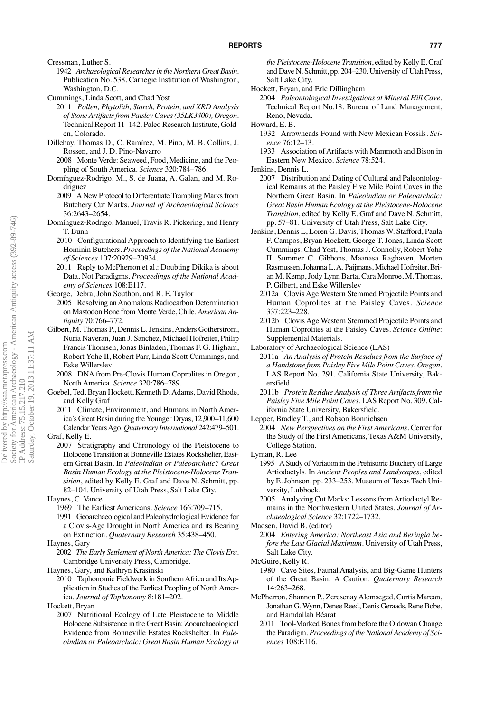Cressman, Luther S.

- 1942 *Archaeological Researchesin theNorthern Great Basin*. Publication No. 538. Carnegie Institution of Washington, Washington, D.C.
- Cummings, Linda Scott, and Chad Yost
	- 2011 *Pollen, Phytolith, Starch, Protein, and XRD Analysis of Stone Artifactsfrom Paisley Caves(35LK3400), Oregon*. Technical Report 11–142. Paleo Research Institute, Golden, Colorado.
- Dillehay, Thomas D., C. Ramírez, M. Pino, M. B. Collins, J. Rossen, and J. D. Pino-Navarro
	- 2008 Monte Verde: Seaweed, Food, Medicine, and the Peopling of South America. *Science* 320:784–786.
- Domínguez-Rodrigo, M., S. de Juana, A. Galan, and M. Rodriguez
	- 2009 A New Protocol to Differentiate Trampling Marks from Butchery Cut Marks. *Journal of Archaeological Science* 36:2643–2654.
- Domínguez-Rodrigo, Manuel, Travis R. Pickering, and Henry T. Bunn
	- 2010 Configurational Approach to Identifying the Earliest Hominin Butchers. *Proceedings of the National Academy of Sciences* 107:20929–20934.
	- 2011 Reply to McPherron et al.: Doubting Dikika is about Data, Not Paradigms. *Proceedings of the National Academy of Sciences* 108:E117.

George, Debra, John Southon, and R. E. Taylor

- 2005 Resolving an Anomalous Radiocarbon Determination on Mastodon Bone from Monte Verde, Chile. *American Antiquity* 70:766–772.
- Gilbert, M. Thomas P., Dennis L.Jenkins,Anders Gotherstrom, Nuria Naveran,Juan J. Sanchez, Michael Hofreiter, Philip Francis Thomsen,Jonas Binladen, Thomas F. G. Higham, Robert Yohe II, Robert Parr, Linda Scott Cummings, and Eske Willerslev
	- 2008 DNA from Pre-Clovis Human Coprolites in Oregon, North America. *Science* 320:786–789.
- Goebel, Ted, Bryan Hockett, Kenneth D.Adams, David Rhode, and Kelly Graf
- 2011 Climate, Environment, and Humans in North America's Great Basin during theYounger Dryas, 12,900–11,600 CalendarYearsAgo. *Quaternary International* 242:479–501. Graf, Kelly E.
	- 2007 Stratigraphy and Chronology of the Pleistocene to Holocene Transition at Bonneville Estates Rockshelter, Eastern Great Basin. In *Paleoindian or Paleoarchaic? Great Basin Human Ecology at the Pleistocene-Holocene Transition*, edited by Kelly E. Graf and Dave N. Schmitt, pp. 82–104. University of Utah Press, Salt Lake City.
- Haynes, C. Vance
	- 1969 The Earliest Americans. *Science* 166:709–715.
	- 1991 Geoarchaeological and Paleohydrological Evidence for a Clovis-Age Drought in North America and its Bearing on Extinction. *Quaternary Research* 35:438–450.
- Haynes, Gary
- 2002 *The Early Settlement of NorthAmerica: The Clovis Era*. Cambridge University Press, Cambridge.
- Haynes, Gary, and Kathryn Krasinski
	- 2010 Taphonomic Fieldwork in Southern Africa and Its Application in Studies of the Earliest Peopling of NorthAmerica. *Journal of Taphonomy* 8:181–202.

Hockett, Bryan

2007 Nutritional Ecology of Late Pleistocene to Middle Holocene Subsistence in the Great Basin: Zooarchaeological Evidence from Bonneville Estates Rockshelter. In *Paleoindian or Paleoarchaic: Great Basin Human Ecology at* *the Pleistocene-Holocene Transition*, edited by Kelly E. Graf and Dave N. Schmitt, pp. 204–230. University of Utah Press, Salt Lake City.

Hockett, Bryan, and Eric Dillingham

- 2004 *Paleontological Investigations at Mineral Hill Cave*. Technical Report No.18. Bureau of Land Management, Reno, Nevada.
- Howard, E. B.
	- 1932 Arrowheads Found with New Mexican Fossils. *Science* 76:12–13.

1933 Association of Artifacts with Mammoth and Bison in Eastern New Mexico. *Science* 78:524.

Jenkins, Dennis L.

- 2007 Distribution and Dating of Cultural and Paleontological Remains at the Paisley Five Mile Point Caves in the Northern Great Basin. In *Paleoindian or Paleoarchaic: Great Basin Human Ecology at the Pleistocene-Holocene Transition*, edited by Kelly E. Graf and Dave N. Schmitt, pp. 57–81. University of Utah Press, Salt Lake City.
- Jenkins, Dennis L, Loren G. Davis, Thomas W. Stafford, Paula F. Campos, Bryan Hockett, George T. Jones, Linda Scott Cummings, Chad Yost, Thomas J. Connolly, Robert Yohe II, Summer C. Gibbons, Maanasa Raghaven, Morten Rasmussen,Johanna L.A. Paijmans, Michael Hofreiter, Brian M. Kemp,Jody Lynn Barta, Cara Monroe, M. Thomas, P. Gilbert, and Eske Willerslev
	- 2012a Clovis Age Western Stemmed Projectile Points and Human Coprolites at the Paisley Caves. *Science* 337:223–228.
	- 2012b Clovis Age Western Stemmed Projectile Points and Human Coprolites at the Paisley Caves. *Science Online*: Supplemental Materials.
- Laboratory of Archaeological Science (LAS)
	- 2011a *An Analysis of Protein Residues from the Surface of a Handstone from Paisley Five Mile Point Caves, Oregon*. LAS Report No. 291. California State University, Bakersfield.
	- 2011b *Protein Residue Analysis of Three Artifactsfrom the Paisley Five Mile Point Caves*. LAS Report No. 309. California State University, Bakersfield.

Lepper, Bradley T., and Robson Bonnichsen

- 2004 *New Perspectives on the First Americans*. Center for the Study of the First Americans, Texas A&M University, College Station.
- Lyman, R. Lee
	- 1995 A Study of Variation in the Prehistoric Butchery of Large Artiodactyls. In *Ancient Peoples and Landscapes*, edited by E. Johnson, pp. 233–253. Museum of Texas Tech University, Lubbock.
	- 2005 Analyzing Cut Marks: Lessons fromArtiodactyl Remains in the Northwestern United States. *Journal of Archaeological Science* 32:1722–1732.

2004 *Entering America: Northeast Asia and Beringia before the Last Glacial Maximum*. University of Utah Press, Salt Lake City.

McGuire, Kelly R.

- 1980 Cave Sites, Faunal Analysis, and Big-Game Hunters of the Great Basin: A Caution. *Quaternary Research* 14:263–268.
- McPherron, Shannon P., Zeresenay Alemseged, Curtis Marean, Jonathan G. Wynn, Denee Reed, Denis Geraads, Rene Bobe, and Hamdallah Béarat
	- 2011 Tool-Marked Bones from before the Oldowan Change the Paradigm. *Proceedings of the National Academy of Sciences* 108:E116.

Madsen, David B. (editor)